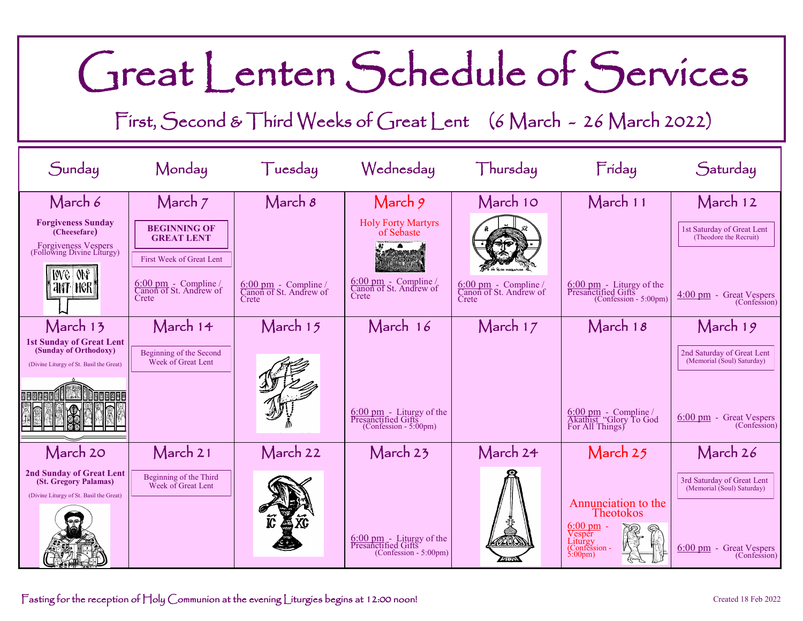## Great Lenten Schedule of Services

First, Second & Third Weeks of Great Lent (6 March - 26 March 2022)

| Sunday                                                                                              | Monday                                                            | Tuesday                                                          | Wednesday                                                                     | Thursday                                                          | Friday                                                                                            | Saturday                                                 |
|-----------------------------------------------------------------------------------------------------|-------------------------------------------------------------------|------------------------------------------------------------------|-------------------------------------------------------------------------------|-------------------------------------------------------------------|---------------------------------------------------------------------------------------------------|----------------------------------------------------------|
| March 6                                                                                             | March 7                                                           | March 8                                                          | March 9                                                                       | March 10                                                          | March 11                                                                                          | March 12                                                 |
| <b>Forgiveness Sunday</b><br>(Cheesefare)                                                           | <b>BEGINNING OF</b><br><b>GREAT LENT</b>                          |                                                                  | <b>Holy Forty Martyrs</b><br>of Sebaste                                       |                                                                   |                                                                                                   | 1st Saturday of Great Lent<br>(Theodore the Recruit)     |
| Forgiveness Vespers<br>(Following Divine Liturgy)                                                   | First Week of Great Lent                                          |                                                                  |                                                                               |                                                                   |                                                                                                   |                                                          |
| ING ONE<br><b>ANT HGRT</b>                                                                          | $6:00 \text{ pm}$ - Compline /<br>Canon of St. Andrew of<br>Crete | $\frac{6:00 \text{ pm}}{\text{Canon of St. Andrew of}}$<br>Crete | $6:00 \text{ pm}$ - Compline /<br>Canon of St. Andrew of<br>Crete             | $6:00 \text{ pm}$ - Compline /<br>Canon of St. Andrew of<br>Crete | $\frac{6:00 \text{ pm}}{\text{Presancified Gifts}}$<br>$(Confession - 5:00pm)$                    | $4:00 \text{ pm}$ - Great Vespers<br>(Confession)        |
| March 13                                                                                            | March 14                                                          | March 15                                                         | March 16                                                                      | March 17                                                          | March $18$                                                                                        | March 19                                                 |
| <b>1st Sunday of Great Lent</b><br>(Sunday of Orthodoxy)<br>(Divine Liturgy of St. Basil the Great) | Beginning of the Second<br>Week of Great Lent                     |                                                                  |                                                                               |                                                                   |                                                                                                   | 2nd Saturday of Great Lent<br>(Memorial (Soul) Saturday) |
|                                                                                                     |                                                                   |                                                                  | $\frac{6:00 \text{ pm}}{\text{Presanctified Gifts}}$                          |                                                                   | $\frac{6:00 \text{ pm}}{\text{Akathist}}$ "Glory To God For All Things)                           | $6:00 \text{ pm}$ - Great Vespers                        |
|                                                                                                     |                                                                   |                                                                  | $(Confession - 5:00pm)$                                                       |                                                                   |                                                                                                   | (Confession)                                             |
| March 20                                                                                            | March 21                                                          | March 22                                                         | March 23                                                                      | March 24                                                          | March 25                                                                                          | March 26                                                 |
| 2nd Sunday of Great Lent<br>(St. Gregory Palamas)<br>(Divine Liturgy of St. Basil the Great)        | Beginning of the Third<br>Week of Great Lent                      |                                                                  |                                                                               |                                                                   | Annunciation to the                                                                               | 3rd Saturday of Great Lent<br>(Memorial (Soul) Saturday) |
|                                                                                                     |                                                                   |                                                                  | $\frac{6:00 \text{ pm}}{\text{Presanctified Gifts}}$<br>(Confession - 5:00pm) | <b>DIONA</b>                                                      | <b>Theotokos</b><br>$6:00 \text{ pm}$ -<br>Vesper<br>Liturgy<br>(Confession -<br>$5:00 \text{pm}$ | $6:00 \text{ pm}$ - Great Vespers<br>(Confession)        |